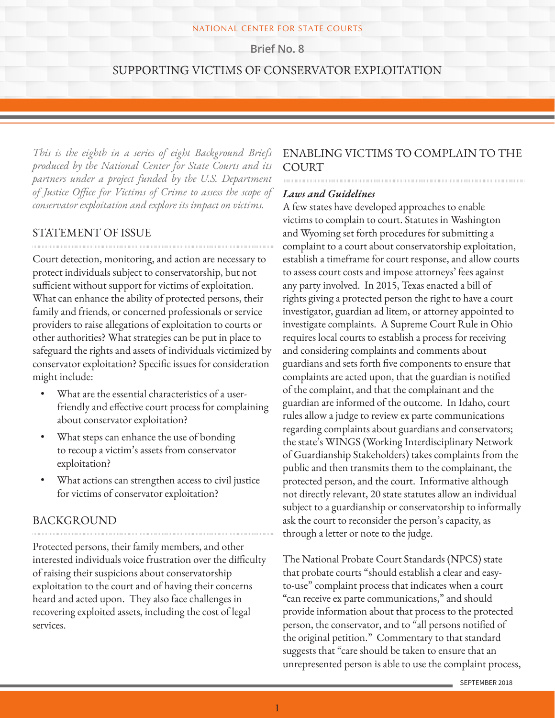#### NATIONAL CENTER FOR STATE COURTS

**Brief No. 8**

### SUPPORTING VICTIMS OF CONSERVATOR EXPLOITATION

*This is the eighth in a series of eight Background Briefs produced by the National Center for State Courts and its partners under a project funded by the U.S. Department of Justice Office for Victims of Crime to assess the scope of conservator exploitation and explore its impact on victims.*

### STATEMENT OF ISSUE

Court detection, monitoring, and action are necessary to protect individuals subject to conservatorship, but not sufficient without support for victims of exploitation. What can enhance the ability of protected persons, their family and friends, or concerned professionals or service providers to raise allegations of exploitation to courts or other authorities? What strategies can be put in place to safeguard the rights and assets of individuals victimized by conservator exploitation? Specific issues for consideration might include:

- What are the essential characteristics of a userfriendly and effective court process for complaining about conservator exploitation?
- What steps can enhance the use of bonding to recoup a victim's assets from conservator exploitation?
- What actions can strengthen access to civil justice for victims of conservator exploitation?

### BACKGROUND

Protected persons, their family members, and other interested individuals voice frustration over the difficulty of raising their suspicions about conservatorship exploitation to the court and of having their concerns heard and acted upon. They also face challenges in recovering exploited assets, including the cost of legal services.

### ENABLING VICTIMS TO COMPLAIN TO THE COURT

#### *Laws and Guidelines*

A few states have developed approaches to enable victims to complain to court. Statutes in Washington and Wyoming set forth procedures for submitting a complaint to a court about conservatorship exploitation, establish a timeframe for court response, and allow courts to assess court costs and impose attorneys' fees against any party involved. In 2015, Texas enacted a bill of rights giving a protected person the right to have a court investigator, guardian ad litem, or attorney appointed to investigate complaints. A Supreme Court Rule in Ohio requires local courts to establish a process for receiving and considering complaints and comments about guardians and sets forth five components to ensure that complaints are acted upon, that the guardian is notified of the complaint, and that the complainant and the guardian are informed of the outcome. In Idaho, court rules allow a judge to review ex parte communications regarding complaints about guardians and conservators; the state's WINGS (Working Interdisciplinary Network of Guardianship Stakeholders) takes complaints from the public and then transmits them to the complainant, the protected person, and the court. Informative although not directly relevant, 20 state statutes allow an individual subject to a guardianship or conservatorship to informally ask the court to reconsider the person's capacity, as through a letter or note to the judge.

The National Probate Court Standards (NPCS) state that probate courts "should establish a clear and easyto-use" complaint process that indicates when a court "can receive ex parte communications," and should provide information about that process to the protected person, the conservator, and to "all persons notified of the original petition." Commentary to that standard suggests that "care should be taken to ensure that an unrepresented person is able to use the complaint process,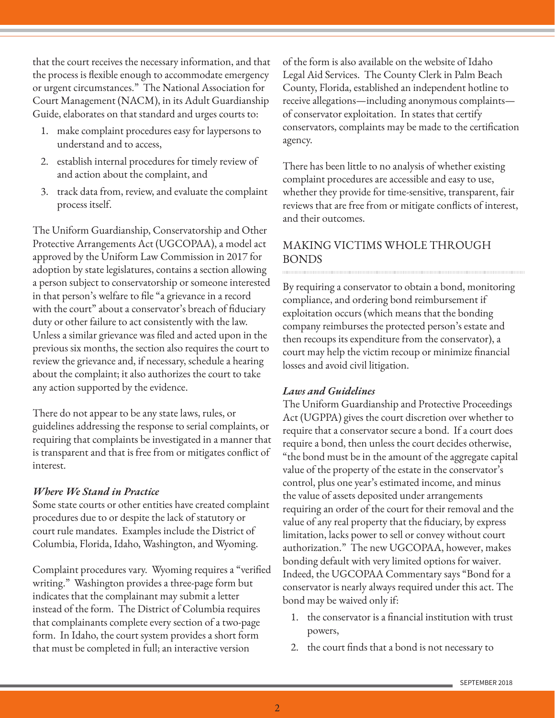that the court receives the necessary information, and that the process is flexible enough to accommodate emergency or urgent circumstances." The National Association for Court Management (NACM), in its Adult Guardianship Guide, elaborates on that standard and urges courts to:

- 1. make complaint procedures easy for laypersons to understand and to access,
- 2. establish internal procedures for timely review of and action about the complaint, and
- 3. track data from, review, and evaluate the complaint process itself.

The Uniform Guardianship, Conservatorship and Other Protective Arrangements Act (UGCOPAA), a model act approved by the Uniform Law Commission in 2017 for adoption by state legislatures, contains a section allowing a person subject to conservatorship or someone interested in that person's welfare to file "a grievance in a record with the court" about a conservator's breach of fiduciary duty or other failure to act consistently with the law. Unless a similar grievance was filed and acted upon in the previous six months, the section also requires the court to review the grievance and, if necessary, schedule a hearing about the complaint; it also authorizes the court to take any action supported by the evidence.

There do not appear to be any state laws, rules, or guidelines addressing the response to serial complaints, or requiring that complaints be investigated in a manner that is transparent and that is free from or mitigates conflict of interest.

### *Where We Stand in Practice*

Some state courts or other entities have created complaint procedures due to or despite the lack of statutory or court rule mandates. Examples include the District of Columbia, Florida, Idaho, Washington, and Wyoming.

Complaint procedures vary. Wyoming requires a "verified writing." Washington provides a three-page form but indicates that the complainant may submit a letter instead of the form. The District of Columbia requires that complainants complete every section of a two-page form. In Idaho, the court system provides a short form that must be completed in full; an interactive version

of the form is also available on the website of Idaho Legal Aid Services. The County Clerk in Palm Beach County, Florida, established an independent hotline to receive allegations—including anonymous complaints of conservator exploitation. In states that certify conservators, complaints may be made to the certification agency.

There has been little to no analysis of whether existing complaint procedures are accessible and easy to use, whether they provide for time-sensitive, transparent, fair reviews that are free from or mitigate conflicts of interest, and their outcomes.

# MAKING VICTIMS WHOLE THROUGH BONDS

By requiring a conservator to obtain a bond, monitoring compliance, and ordering bond reimbursement if exploitation occurs (which means that the bonding company reimburses the protected person's estate and then recoups its expenditure from the conservator), a court may help the victim recoup or minimize financial losses and avoid civil litigation.

### *Laws and Guidelines*

The Uniform Guardianship and Protective Proceedings Act (UGPPA) gives the court discretion over whether to require that a conservator secure a bond. If a court does require a bond, then unless the court decides otherwise, "the bond must be in the amount of the aggregate capital value of the property of the estate in the conservator's control, plus one year's estimated income, and minus the value of assets deposited under arrangements requiring an order of the court for their removal and the value of any real property that the fiduciary, by express limitation, lacks power to sell or convey without court authorization." The new UGCOPAA, however, makes bonding default with very limited options for waiver. Indeed, the UGCOPAA Commentary says "Bond for a conservator is nearly always required under this act. The bond may be waived only if:

- 1. the conservator is a financial institution with trust powers,
- 2. the court finds that a bond is not necessary to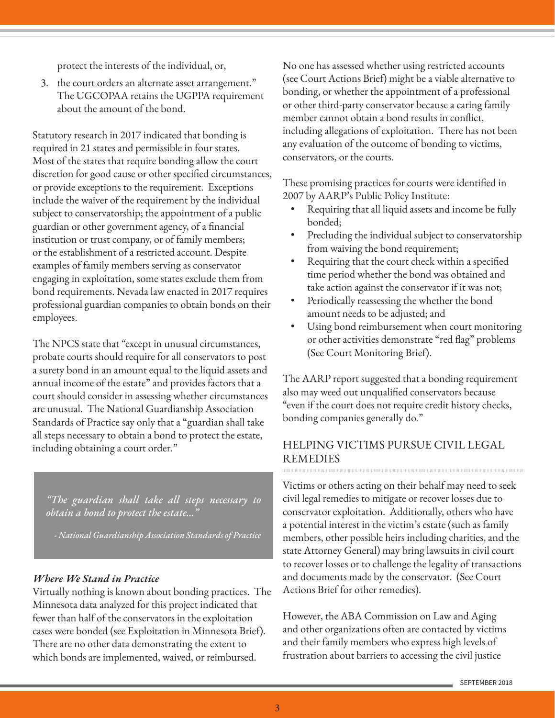protect the interests of the individual, or,

3. the court orders an alternate asset arrangement." The UGCOPAA retains the UGPPA requirement about the amount of the bond.

Statutory research in 2017 indicated that bonding is required in 21 states and permissible in four states. Most of the states that require bonding allow the court discretion for good cause or other specified circumstances, or provide exceptions to the requirement. Exceptions include the waiver of the requirement by the individual subject to conservatorship; the appointment of a public guardian or other government agency, of a financial institution or trust company, or of family members; or the establishment of a restricted account. Despite examples of family members serving as conservator engaging in exploitation, some states exclude them from bond requirements. Nevada law enacted in 2017 requires professional guardian companies to obtain bonds on their employees.

The NPCS state that "except in unusual circumstances, probate courts should require for all conservators to post a surety bond in an amount equal to the liquid assets and annual income of the estate" and provides factors that a court should consider in assessing whether circumstances are unusual. The National Guardianship Association Standards of Practice say only that a "guardian shall take all steps necessary to obtain a bond to protect the estate, including obtaining a court order."

*"The guardian shall take all steps necessary to obtain a bond to protect the estate..."* 

*- National Guardianship Association Standards of Practice*

### *Where We Stand in Practice*

Virtually nothing is known about bonding practices. The Minnesota data analyzed for this project indicated that fewer than half of the conservators in the exploitation cases were bonded (see Exploitation in Minnesota Brief). There are no other data demonstrating the extent to which bonds are implemented, waived, or reimbursed.

No one has assessed whether using restricted accounts (see Court Actions Brief) might be a viable alternative to bonding, or whether the appointment of a professional or other third-party conservator because a caring family member cannot obtain a bond results in conflict, including allegations of exploitation. There has not been any evaluation of the outcome of bonding to victims, conservators, or the courts.

These promising practices for courts were identified in 2007 by AARP's Public Policy Institute:

- Requiring that all liquid assets and income be fully bonded;
- Precluding the individual subject to conservatorship from waiving the bond requirement;
- Requiring that the court check within a specified time period whether the bond was obtained and take action against the conservator if it was not;
- Periodically reassessing the whether the bond amount needs to be adjusted; and
- Using bond reimbursement when court monitoring or other activities demonstrate "red flag" problems (See Court Monitoring Brief).

The AARP report suggested that a bonding requirement also may weed out unqualified conservators because "even if the court does not require credit history checks, bonding companies generally do."

## HELPING VICTIMS PURSUE CIVIL LEGAL REMEDIES

Victims or others acting on their behalf may need to seek civil legal remedies to mitigate or recover losses due to conservator exploitation. Additionally, others who have a potential interest in the victim's estate (such as family members, other possible heirs including charities, and the state Attorney General) may bring lawsuits in civil court to recover losses or to challenge the legality of transactions and documents made by the conservator. (See Court Actions Brief for other remedies).

However, the ABA Commission on Law and Aging and other organizations often are contacted by victims and their family members who express high levels of frustration about barriers to accessing the civil justice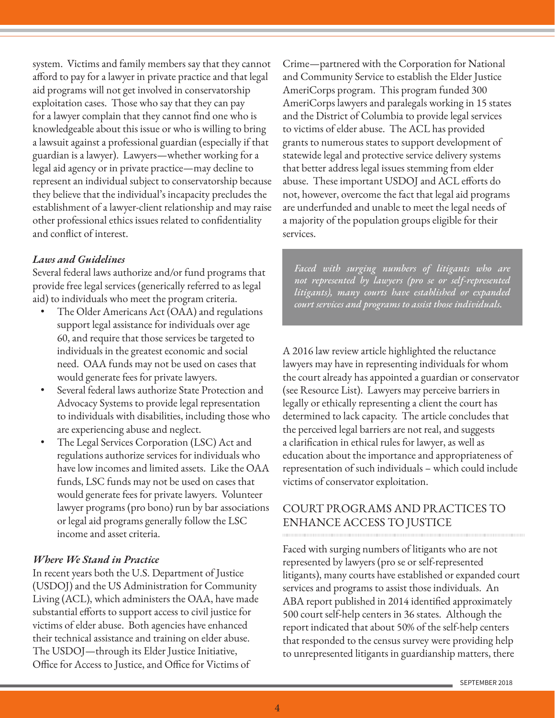system. Victims and family members say that they cannot afford to pay for a lawyer in private practice and that legal aid programs will not get involved in conservatorship exploitation cases. Those who say that they can pay for a lawyer complain that they cannot find one who is knowledgeable about this issue or who is willing to bring a lawsuit against a professional guardian (especially if that guardian is a lawyer). Lawyers—whether working for a legal aid agency or in private practice—may decline to represent an individual subject to conservatorship because they believe that the individual's incapacity precludes the establishment of a lawyer-client relationship and may raise other professional ethics issues related to confidentiality and conflict of interest.

### *Laws and Guidelines*

Several federal laws authorize and/or fund programs that provide free legal services (generically referred to as legal aid) to individuals who meet the program criteria.

- The Older Americans Act (OAA) and regulations support legal assistance for individuals over age 60, and require that those services be targeted to individuals in the greatest economic and social need. OAA funds may not be used on cases that would generate fees for private lawyers.
- Several federal laws authorize State Protection and Advocacy Systems to provide legal representation to individuals with disabilities, including those who are experiencing abuse and neglect.
- The Legal Services Corporation (LSC) Act and regulations authorize services for individuals who have low incomes and limited assets. Like the OAA funds, LSC funds may not be used on cases that would generate fees for private lawyers. Volunteer lawyer programs (pro bono) run by bar associations or legal aid programs generally follow the LSC income and asset criteria.

## *Where We Stand in Practice*

In recent years both the U.S. Department of Justice (USDOJ) and the US Administration for Community Living (ACL), which administers the OAA, have made substantial efforts to support access to civil justice for victims of elder abuse. Both agencies have enhanced their technical assistance and training on elder abuse. The USDOJ—through its Elder Justice Initiative, Office for Access to Justice, and Office for Victims of

Crime—partnered with the Corporation for National and Community Service to establish the Elder Justice AmeriCorps program. This program funded 300 AmeriCorps lawyers and paralegals working in 15 states and the District of Columbia to provide legal services to victims of elder abuse. The ACL has provided grants to numerous states to support development of statewide legal and protective service delivery systems that better address legal issues stemming from elder abuse. These important USDOJ and ACL efforts do not, however, overcome the fact that legal aid programs are underfunded and unable to meet the legal needs of a majority of the population groups eligible for their services.

*Faced with surging numbers of litigants who are not represented by lawyers (pro se or self-represented litigants), many courts have established or expanded court services and programs to assist those individuals.*

A 2016 law review article highlighted the reluctance lawyers may have in representing individuals for whom the court already has appointed a guardian or conservator (see Resource List). Lawyers may perceive barriers in legally or ethically representing a client the court has determined to lack capacity. The article concludes that the perceived legal barriers are not real, and suggests a clarification in ethical rules for lawyer, as well as education about the importance and appropriateness of representation of such individuals – which could include victims of conservator exploitation.

# COURT PROGRAMS AND PRACTICES TO ENHANCE ACCESS TO JUSTICE

Faced with surging numbers of litigants who are not represented by lawyers (pro se or self-represented litigants), many courts have established or expanded court services and programs to assist those individuals. An ABA report published in 2014 identified approximately 500 court self-help centers in 36 states. Although the report indicated that about 50% of the self-help centers that responded to the census survey were providing help to unrepresented litigants in guardianship matters, there